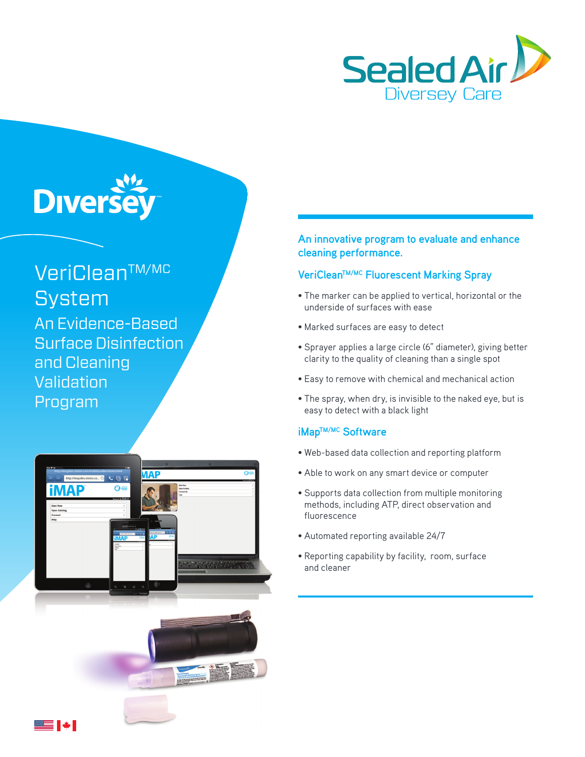

# **Diverse**

VeriCleanTM/MC **System** An Evidence-Based Surface Disinfection and Cleaning **Validation** Program



▇≡ I ↓I

### **An innovative program to evaluate and enhance cleaning performance.**

## **VeriCleanTM/MC Fluorescent Marking Spray**

- The marker can be applied to vertical, horizontal or the underside of surfaces with ease
- Marked surfaces are easy to detect
- Sprayer applies a large circle (6" diameter), giving better clarity to the quality of cleaning than a single spot
- Easy to remove with chemical and mechanical action
- The spray, when dry, is invisible to the naked eye, but is easy to detect with a black light

#### **iMapTM/MC Software**

- Web-based data collection and reporting platform
- Able to work on any smart device or computer
- Supports data collection from multiple monitoring methods, including ATP, direct observation and fluorescence
- Automated reporting available 24/7
- Reporting capability by facility, room, surface and cleaner